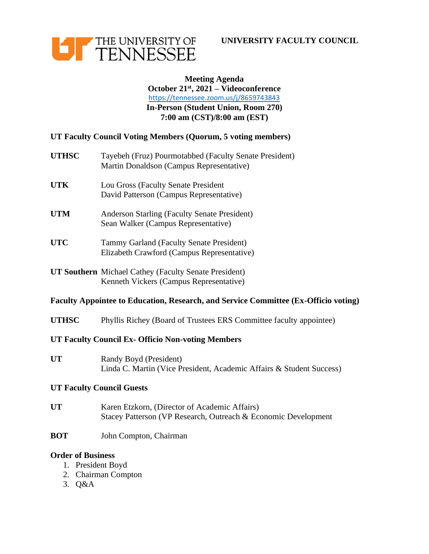



## **Meeting Agenda October 21st, 2021 – Videoconference** <https://tennessee.zoom.us/j/8659743843> **In-Person (Student Union, Room 270) 7:00 am (CST)/8:00 am (EST)**

### **UT Faculty Council Voting Members (Quorum, 5 voting members)**

| <b>UTHSC</b> | Tayebeh (Fruz) Pourmotabbed (Faculty Senate President)<br>Martin Donaldson (Campus Representative) |
|--------------|----------------------------------------------------------------------------------------------------|
|              |                                                                                                    |

- **UTK** Lou Gross (Faculty Senate President David Patterson (Campus Representative)
- **UTM** Anderson Starling (Faculty Senate President) Sean Walker (Campus Representative)
- **UTC** Tammy Garland (Faculty Senate President) Elizabeth Crawford (Campus Representative)
- **UT Southern** Michael Cathey (Faculty Senate President) Kenneth Vickers (Campus Representative)

### **Faculty Appointee to Education, Research, and Service Committee (Ex-Officio voting)**

**UTHSC** Phyllis Richey (Board of Trustees ERS Committee faculty appointee)

### **UT Faculty Council Ex- Officio Non-voting Members**

**UT** Randy Boyd (President) Linda C. Martin (Vice President, Academic Affairs & Student Success)

#### **UT Faculty Council Guests**

- **UT** Karen Etzkorn, (Director of Academic Affairs) Stacey Patterson (VP Research, Outreach & Economic Development
- **BOT** John Compton, Chairman

#### **Order of Business**

- 1. President Boyd
- 2. Chairman Compton
- 3. Q&A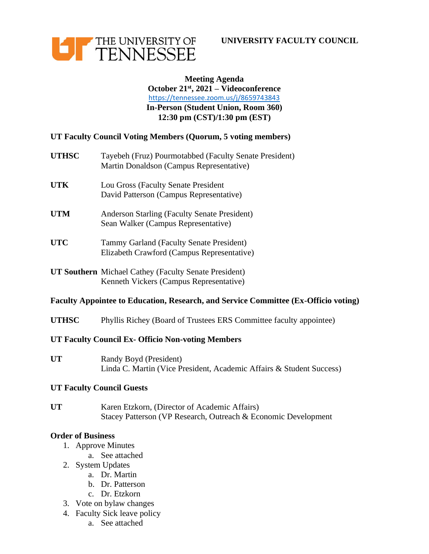



# **Meeting Agenda October 21st, 2021 – Videoconference** <https://tennessee.zoom.us/j/8659743843> **In-Person (Student Union, Room 360) 12:30 pm (CST)/1:30 pm (EST)**

## **UT Faculty Council Voting Members (Quorum, 5 voting members)**

| <b>UTHSC</b> | Tayebeh (Fruz) Pourmotabbed (Faculty Senate President) |
|--------------|--------------------------------------------------------|
|              | Martin Donaldson (Campus Representative)               |
|              |                                                        |

- **UTK** Lou Gross (Faculty Senate President David Patterson (Campus Representative)
- **UTM** Anderson Starling (Faculty Senate President) Sean Walker (Campus Representative)
- **UTC** Tammy Garland (Faculty Senate President) Elizabeth Crawford (Campus Representative)
- **UT Southern** Michael Cathey (Faculty Senate President) Kenneth Vickers (Campus Representative)

#### **Faculty Appointee to Education, Research, and Service Committee (Ex-Officio voting)**

**UTHSC** Phyllis Richey (Board of Trustees ERS Committee faculty appointee)

### **UT Faculty Council Ex- Officio Non-voting Members**

**UT** Randy Boyd (President) Linda C. Martin (Vice President, Academic Affairs & Student Success)

### **UT Faculty Council Guests**

**UT** Karen Etzkorn, (Director of Academic Affairs) Stacey Patterson (VP Research, Outreach & Economic Development

#### **Order of Business**

- 1. Approve Minutes
	- a. See attached
- 2. System Updates
	- a. Dr. Martin
	- b. Dr. Patterson
	- c. Dr. Etzkorn
- 3. Vote on bylaw changes
- 4. Faculty Sick leave policy
	- a. See attached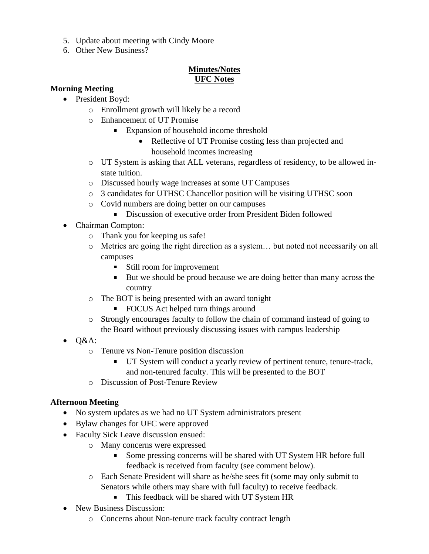- 5. Update about meeting with Cindy Moore
- 6. Other New Business?

# **Minutes/Notes UFC Notes**

### **Morning Meeting**

- President Boyd:
	- o Enrollment growth will likely be a record
	- o Enhancement of UT Promise
		- **Expansion of household income threshold** 
			- Reflective of UT Promise costing less than projected and household incomes increasing
	- o UT System is asking that ALL veterans, regardless of residency, to be allowed instate tuition.
	- o Discussed hourly wage increases at some UT Campuses
	- o 3 candidates for UTHSC Chancellor position will be visiting UTHSC soon
	- o Covid numbers are doing better on our campuses
		- Discussion of executive order from President Biden followed
- Chairman Compton:

 $\blacksquare$ 

- o Thank you for keeping us safe!
- o Metrics are going the right direction as a system… but noted not necessarily on all campuses
	- $\mathbf{u}$  . Still room for improvement
	- But we should be proud because we are doing better than many across the country
- o The BOT is being presented with an award tonight
	- FOCUS Act helped turn things around
- o Strongly encourages faculty to follow the chain of command instead of going to the Board without previously discussing issues with campus leadership
- $\bullet$  Q&A:
	- o Tenure vs Non-Tenure position discussion
		- UT System will conduct a yearly review of pertinent tenure, tenure-track, and non-tenured faculty. This will be presented to the BOT
	- o Discussion of Post-Tenure Review

## **Afternoon Meeting**

- No system updates as we had no UT System administrators present
- Bylaw changes for UFC were approved
- Faculty Sick Leave discussion ensued:
	- o Many concerns were expressed
		- Some pressing concerns will be shared with UT System HR before full ×, feedback is received from faculty (see comment below).
	- o Each Senate President will share as he/she sees fit (some may only submit to Senators while others may share with full faculty) to receive feedback.
		- This feedback will be shared with UT System HR
- New Business Discussion:
	- o Concerns about Non-tenure track faculty contract length